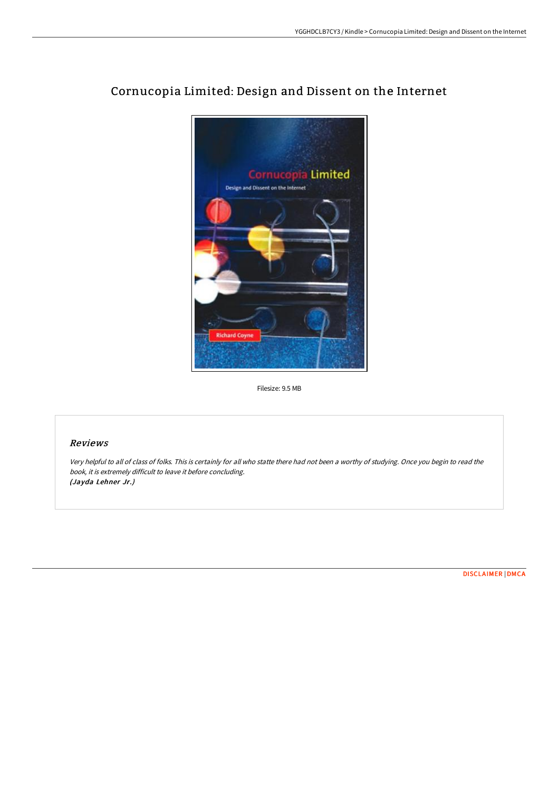

# Cornucopia Limited: Design and Dissent on the Internet

Filesize: 9.5 MB

## Reviews

Very helpful to all of class of folks. This is certainly for all who statte there had not been <sup>a</sup> worthy of studying. Once you begin to read the book, it is extremely difficult to leave it before concluding. (Jayda Lehner Jr.)

[DISCLAIMER](http://techno-pub.tech/disclaimer.html) | [DMCA](http://techno-pub.tech/dmca.html)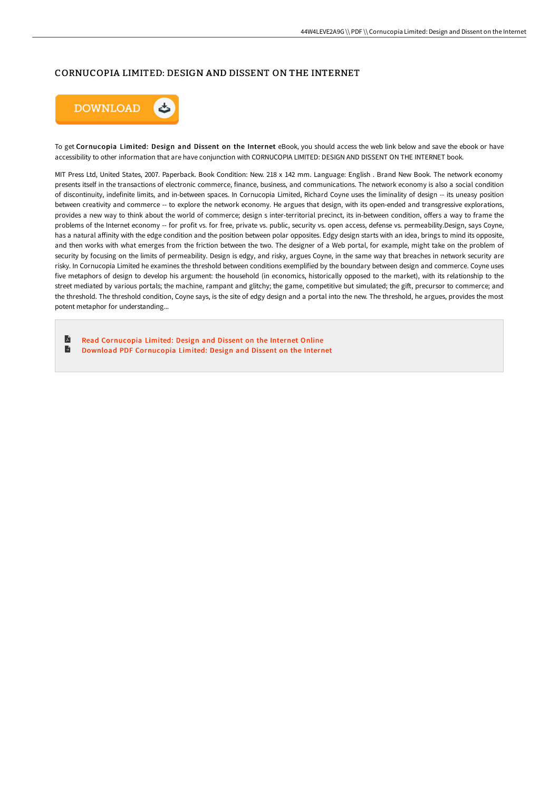### CORNUCOPIA LIMITED: DESIGN AND DISSENT ON THE INTERNET



To get Cornucopia Limited: Design and Dissent on the Internet eBook, you should access the web link below and save the ebook or have accessibility to other information that are have conjunction with CORNUCOPIA LIMITED: DESIGN AND DISSENT ON THE INTERNET book.

MIT Press Ltd, United States, 2007. Paperback. Book Condition: New. 218 x 142 mm. Language: English . Brand New Book. The network economy presents itself in the transactions of electronic commerce, finance, business, and communications. The network economy is also a social condition of discontinuity, indefinite limits, and in-between spaces. In Cornucopia Limited, Richard Coyne uses the liminality of design -- its uneasy position between creativity and commerce -- to explore the network economy. He argues that design, with its open-ended and transgressive explorations, provides a new way to think about the world of commerce; design s inter-territorial precinct, its in-between condition, oFers a way to frame the problems of the Internet economy -- for profit vs. for free, private vs. public, security vs. open access, defense vs. permeability.Design, says Coyne, has a natural aFinity with the edge condition and the position between polar opposites. Edgy design starts with an idea, brings to mind its opposite, and then works with what emerges from the friction between the two. The designer of a Web portal, for example, might take on the problem of security by focusing on the limits of permeability. Design is edgy, and risky, argues Coyne, in the same way that breaches in network security are risky. In Cornucopia Limited he examines the threshold between conditions exemplified by the boundary between design and commerce. Coyne uses five metaphors of design to develop his argument: the household (in economics, historically opposed to the market), with its relationship to the street mediated by various portals; the machine, rampant and glitchy; the game, competitive but simulated; the gift, precursor to commerce; and the threshold. The threshold condition, Coyne says, is the site of edgy design and a portal into the new. The threshold, he argues, provides the most potent metaphor for understanding...

E Read [Cornucopia](http://techno-pub.tech/cornucopia-limited-design-and-dissent-on-the-int.html) Limited: Design and Dissent on the Internet Online  $\blacksquare$ Download PDF [Cornucopia](http://techno-pub.tech/cornucopia-limited-design-and-dissent-on-the-int.html) Limited: Design and Dissent on the Internet